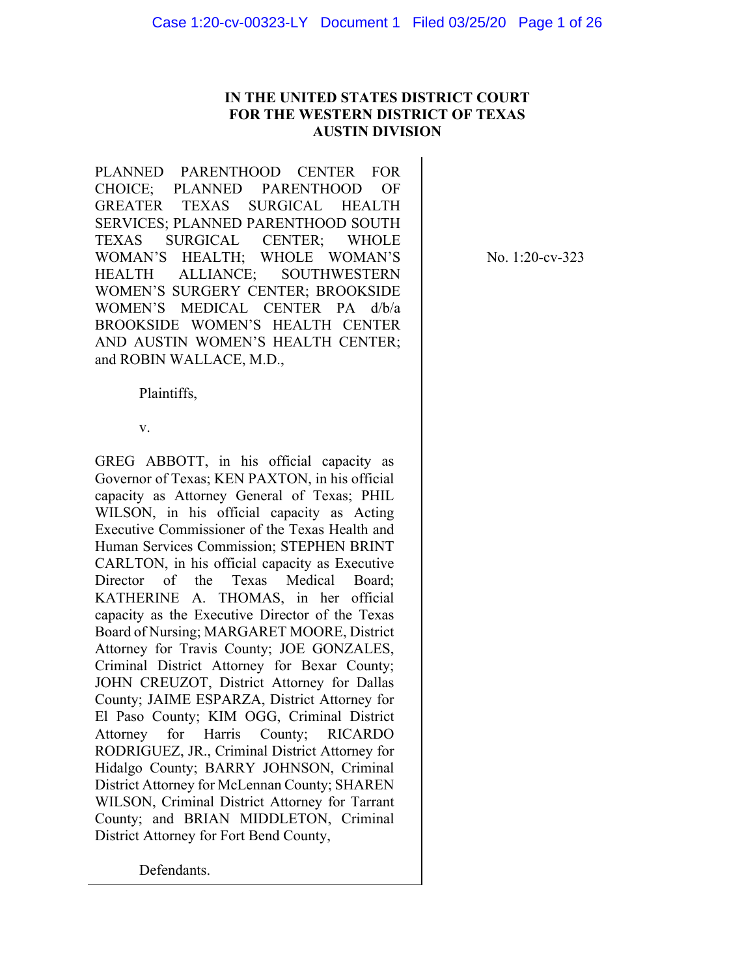# **IN THE UNITED STATES DISTRICT COURT FOR THE WESTERN DISTRICT OF TEXAS AUSTIN DIVISION**

PLANNED PARENTHOOD CENTER FOR CHOICE; PLANNED PARENTHOOD OF GREATER TEXAS SURGICAL HEALTH SERVICES; PLANNED PARENTHOOD SOUTH TEXAS SURGICAL CENTER; WHOLE WOMAN'S HEALTH; WHOLE WOMAN'S HEALTH ALLIANCE; SOUTHWESTERN WOMEN'S SURGERY CENTER; BROOKSIDE WOMEN'S MEDICAL CENTER PA d/b/a BROOKSIDE WOMEN'S HEALTH CENTER AND AUSTIN WOMEN'S HEALTH CENTER; and ROBIN WALLACE, M.D.,

No. 1:20-cv-323

Plaintiffs,

v.

GREG ABBOTT, in his official capacity as Governor of Texas; KEN PAXTON, in his official capacity as Attorney General of Texas; PHIL WILSON, in his official capacity as Acting Executive Commissioner of the Texas Health and Human Services Commission; STEPHEN BRINT CARLTON, in his official capacity as Executive Director of the Texas Medical Board; KATHERINE A. THOMAS, in her official capacity as the Executive Director of the Texas Board of Nursing; MARGARET MOORE, District Attorney for Travis County; JOE GONZALES, Criminal District Attorney for Bexar County; JOHN CREUZOT, District Attorney for Dallas County; JAIME ESPARZA, District Attorney for El Paso County; KIM OGG, Criminal District Attorney for Harris County; RICARDO RODRIGUEZ, JR., Criminal District Attorney for Hidalgo County; BARRY JOHNSON, Criminal District Attorney for McLennan County; SHAREN WILSON, Criminal District Attorney for Tarrant County; and BRIAN MIDDLETON, Criminal District Attorney for Fort Bend County,

Defendants.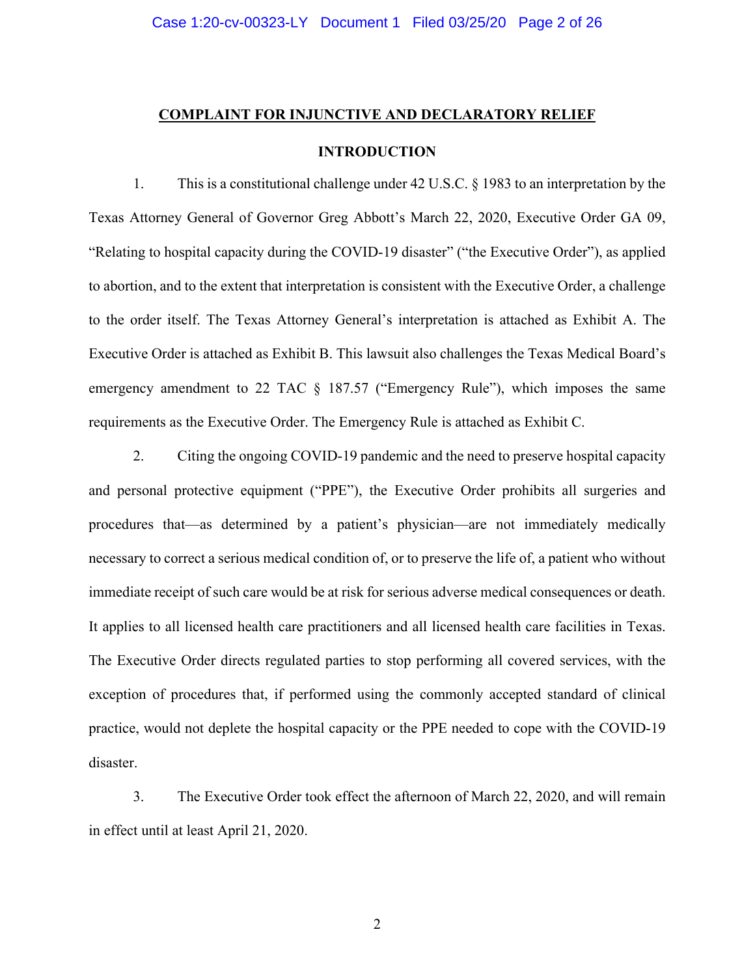#### **COMPLAINT FOR INJUNCTIVE AND DECLARATORY RELIEF**

# **INTRODUCTION**

1. This is a constitutional challenge under 42 U.S.C. § 1983 to an interpretation by the Texas Attorney General of Governor Greg Abbott's March 22, 2020, Executive Order GA 09, "Relating to hospital capacity during the COVID-19 disaster" ("the Executive Order"), as applied to abortion, and to the extent that interpretation is consistent with the Executive Order, a challenge to the order itself. The Texas Attorney General's interpretation is attached as Exhibit A. The Executive Order is attached as Exhibit B. This lawsuit also challenges the Texas Medical Board's emergency amendment to 22 TAC § 187.57 ("Emergency Rule"), which imposes the same requirements as the Executive Order. The Emergency Rule is attached as Exhibit C.

2. Citing the ongoing COVID-19 pandemic and the need to preserve hospital capacity and personal protective equipment ("PPE"), the Executive Order prohibits all surgeries and procedures that—as determined by a patient's physician—are not immediately medically necessary to correct a serious medical condition of, or to preserve the life of, a patient who without immediate receipt of such care would be at risk for serious adverse medical consequences or death. It applies to all licensed health care practitioners and all licensed health care facilities in Texas. The Executive Order directs regulated parties to stop performing all covered services, with the exception of procedures that, if performed using the commonly accepted standard of clinical practice, would not deplete the hospital capacity or the PPE needed to cope with the COVID-19 disaster.

3. The Executive Order took effect the afternoon of March 22, 2020, and will remain in effect until at least April 21, 2020.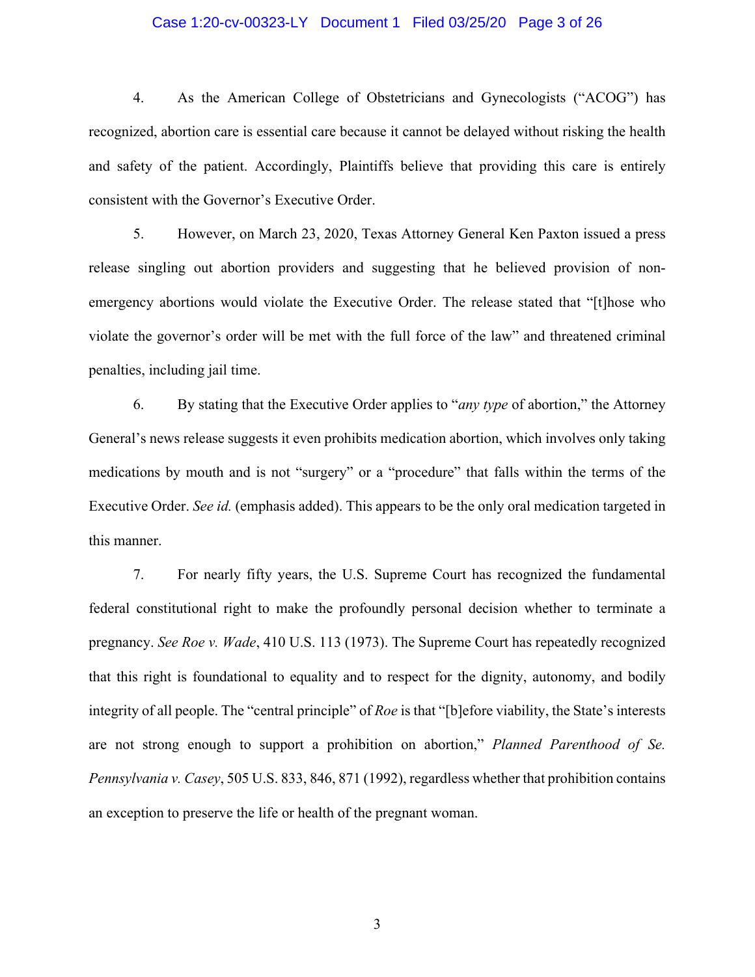#### Case 1:20-cv-00323-LY Document 1 Filed 03/25/20 Page 3 of 26

4. As the American College of Obstetricians and Gynecologists ("ACOG") has recognized, abortion care is essential care because it cannot be delayed without risking the health and safety of the patient. Accordingly, Plaintiffs believe that providing this care is entirely consistent with the Governor's Executive Order.

5. However, on March 23, 2020, Texas Attorney General Ken Paxton issued a press release singling out abortion providers and suggesting that he believed provision of nonemergency abortions would violate the Executive Order. The release stated that "[t]hose who violate the governor's order will be met with the full force of the law" and threatened criminal penalties, including jail time.

6. By stating that the Executive Order applies to "*any type* of abortion," the Attorney General's news release suggests it even prohibits medication abortion, which involves only taking medications by mouth and is not "surgery" or a "procedure" that falls within the terms of the Executive Order. *See id.* (emphasis added). This appears to be the only oral medication targeted in this manner.

7. For nearly fifty years, the U.S. Supreme Court has recognized the fundamental federal constitutional right to make the profoundly personal decision whether to terminate a pregnancy. *See Roe v. Wade*, 410 U.S. 113 (1973). The Supreme Court has repeatedly recognized that this right is foundational to equality and to respect for the dignity, autonomy, and bodily integrity of all people. The "central principle" of *Roe* is that "[b]efore viability, the State's interests are not strong enough to support a prohibition on abortion," *Planned Parenthood of Se. Pennsylvania v. Casey*, 505 U.S. 833, 846, 871 (1992), regardless whether that prohibition contains an exception to preserve the life or health of the pregnant woman.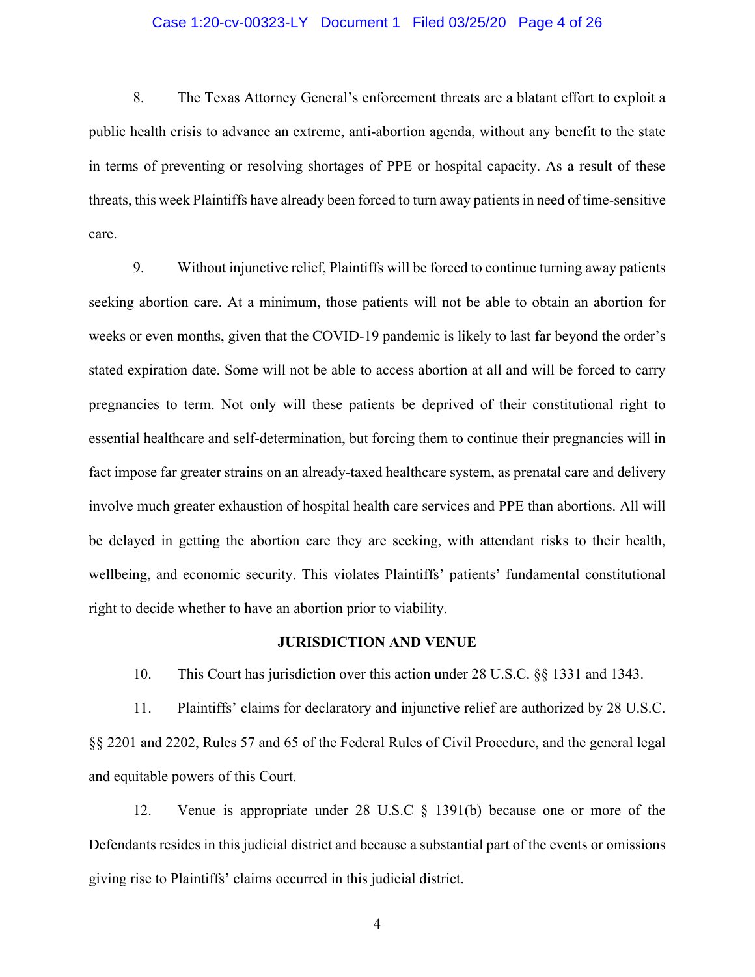### Case 1:20-cv-00323-LY Document 1 Filed 03/25/20 Page 4 of 26

8. The Texas Attorney General's enforcement threats are a blatant effort to exploit a public health crisis to advance an extreme, anti-abortion agenda, without any benefit to the state in terms of preventing or resolving shortages of PPE or hospital capacity. As a result of these threats, this week Plaintiffs have already been forced to turn away patients in need of time-sensitive care.

9. Without injunctive relief, Plaintiffs will be forced to continue turning away patients seeking abortion care. At a minimum, those patients will not be able to obtain an abortion for weeks or even months, given that the COVID-19 pandemic is likely to last far beyond the order's stated expiration date. Some will not be able to access abortion at all and will be forced to carry pregnancies to term. Not only will these patients be deprived of their constitutional right to essential healthcare and self-determination, but forcing them to continue their pregnancies will in fact impose far greater strains on an already-taxed healthcare system, as prenatal care and delivery involve much greater exhaustion of hospital health care services and PPE than abortions. All will be delayed in getting the abortion care they are seeking, with attendant risks to their health, wellbeing, and economic security. This violates Plaintiffs' patients' fundamental constitutional right to decide whether to have an abortion prior to viability.

#### **JURISDICTION AND VENUE**

10. This Court has jurisdiction over this action under 28 U.S.C. §§ 1331 and 1343.

11. Plaintiffs' claims for declaratory and injunctive relief are authorized by 28 U.S.C. §§ 2201 and 2202, Rules 57 and 65 of the Federal Rules of Civil Procedure, and the general legal and equitable powers of this Court.

12. Venue is appropriate under 28 U.S.C § 1391(b) because one or more of the Defendants resides in this judicial district and because a substantial part of the events or omissions giving rise to Plaintiffs' claims occurred in this judicial district.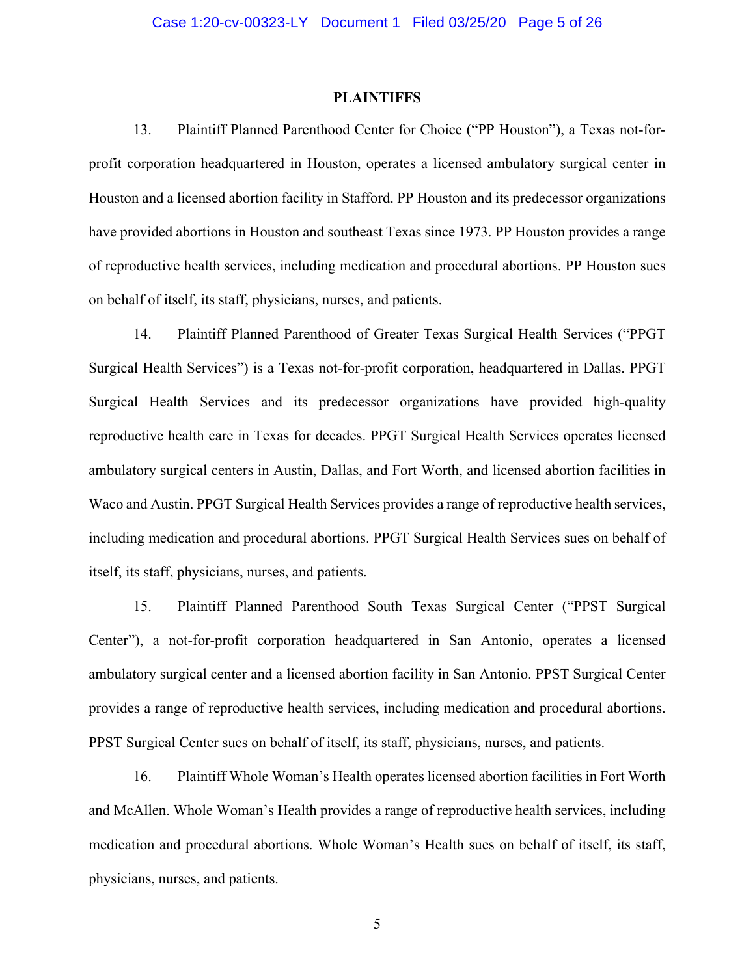#### **PLAINTIFFS**

13. Plaintiff Planned Parenthood Center for Choice ("PP Houston"), a Texas not-forprofit corporation headquartered in Houston, operates a licensed ambulatory surgical center in Houston and a licensed abortion facility in Stafford. PP Houston and its predecessor organizations have provided abortions in Houston and southeast Texas since 1973. PP Houston provides a range of reproductive health services, including medication and procedural abortions. PP Houston sues on behalf of itself, its staff, physicians, nurses, and patients.

14. Plaintiff Planned Parenthood of Greater Texas Surgical Health Services ("PPGT Surgical Health Services") is a Texas not-for-profit corporation, headquartered in Dallas. PPGT Surgical Health Services and its predecessor organizations have provided high-quality reproductive health care in Texas for decades. PPGT Surgical Health Services operates licensed ambulatory surgical centers in Austin, Dallas, and Fort Worth, and licensed abortion facilities in Waco and Austin. PPGT Surgical Health Services provides a range of reproductive health services, including medication and procedural abortions. PPGT Surgical Health Services sues on behalf of itself, its staff, physicians, nurses, and patients.

15. Plaintiff Planned Parenthood South Texas Surgical Center ("PPST Surgical Center"), a not-for-profit corporation headquartered in San Antonio, operates a licensed ambulatory surgical center and a licensed abortion facility in San Antonio. PPST Surgical Center provides a range of reproductive health services, including medication and procedural abortions. PPST Surgical Center sues on behalf of itself, its staff, physicians, nurses, and patients.

16. Plaintiff Whole Woman's Health operates licensed abortion facilities in Fort Worth and McAllen. Whole Woman's Health provides a range of reproductive health services, including medication and procedural abortions. Whole Woman's Health sues on behalf of itself, its staff, physicians, nurses, and patients.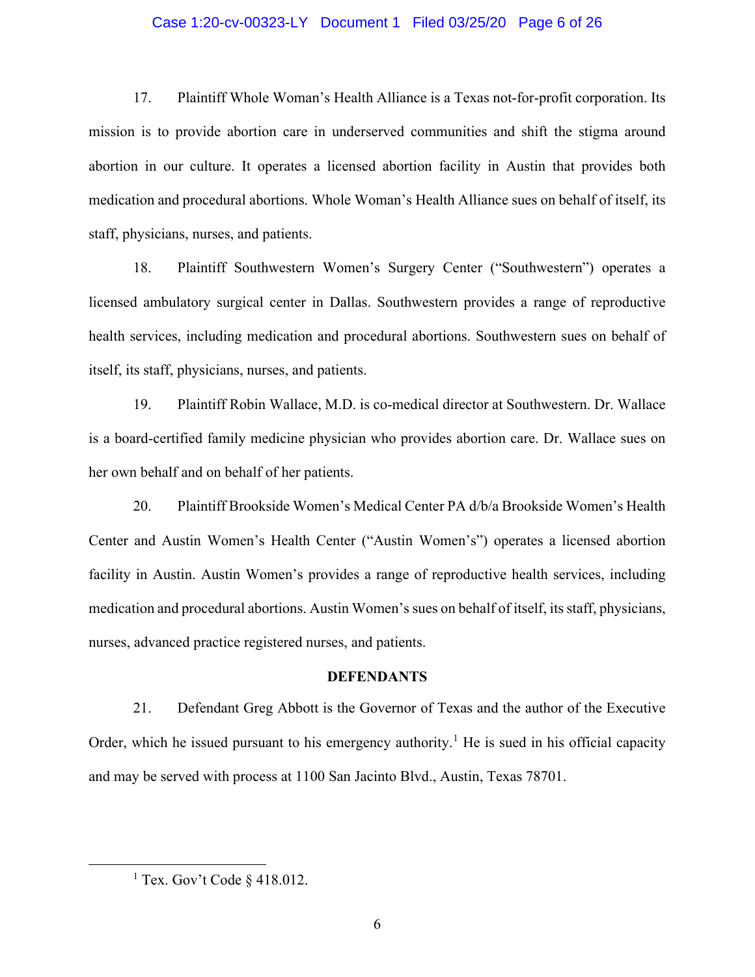#### Case 1:20-cv-00323-LY Document 1 Filed 03/25/20 Page 6 of 26

17. Plaintiff Whole Woman's Health Alliance is a Texas not-for-profit corporation. Its mission is to provide abortion care in underserved communities and shift the stigma around abortion in our culture. It operates a licensed abortion facility in Austin that provides both medication and procedural abortions. Whole Woman's Health Alliance sues on behalf of itself, its staff, physicians, nurses, and patients.

18. Plaintiff Southwestern Women's Surgery Center ("Southwestern") operates a licensed ambulatory surgical center in Dallas. Southwestern provides a range of reproductive health services, including medication and procedural abortions. Southwestern sues on behalf of itself, its staff, physicians, nurses, and patients.

19. Plaintiff Robin Wallace, M.D. is co-medical director at Southwestern. Dr. Wallace is a board-certified family medicine physician who provides abortion care. Dr. Wallace sues on her own behalf and on behalf of her patients.

20. Plaintiff Brookside Women's Medical Center PA d/b/a Brookside Women's Health Center and Austin Women's Health Center ("Austin Women's") operates a licensed abortion facility in Austin. Austin Women's provides a range of reproductive health services, including medication and procedural abortions. Austin Women's sues on behalf of itself, its staff, physicians, nurses, advanced practice registered nurses, and patients.

#### **DEFENDANTS**

21. Defendant Greg Abbott is the Governor of Texas and the author of the Executive Order, which he issued pursuant to his emergency authority.<sup>1</sup> He is sued in his official capacity and may be served with process at 1100 San Jacinto Blvd., Austin, Texas 78701.

<sup>&</sup>lt;sup>1</sup> Tex. Gov't Code  $\S$  418.012.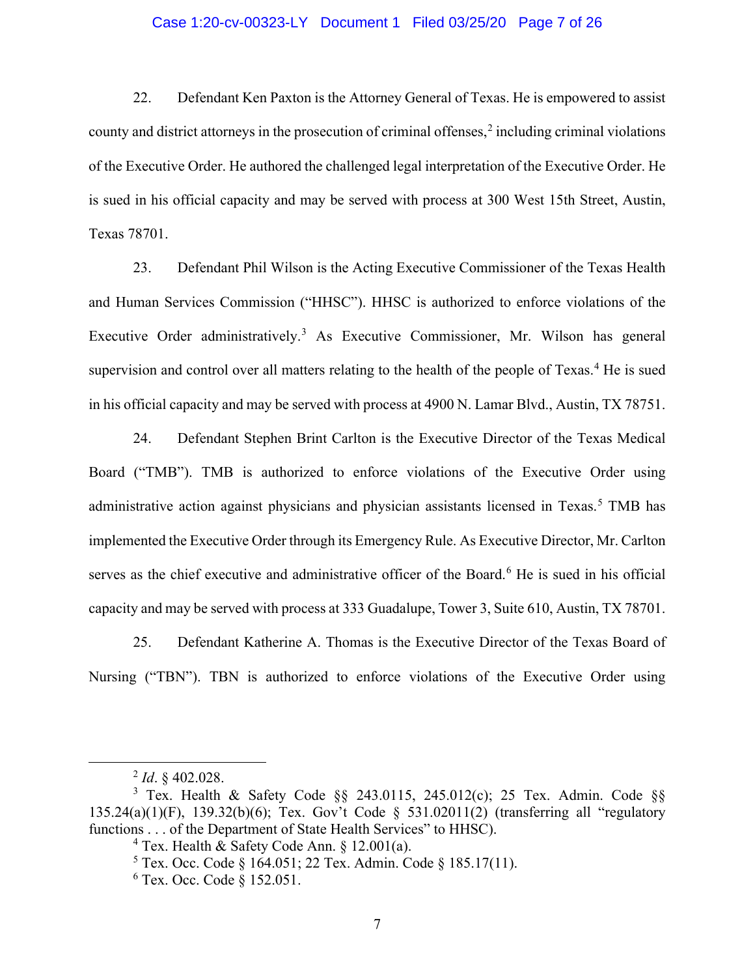### Case 1:20-cv-00323-LY Document 1 Filed 03/25/20 Page 7 of 26

22. Defendant Ken Paxton is the Attorney General of Texas. He is empowered to assist county and district attorneys in the prosecution of criminal offenses, $\frac{2}{3}$  including criminal violations of the Executive Order. He authored the challenged legal interpretation of the Executive Order. He is sued in his official capacity and may be served with process at 300 West 15th Street, Austin, Texas 78701.

23. Defendant Phil Wilson is the Acting Executive Commissioner of the Texas Health and Human Services Commission ("HHSC"). HHSC is authorized to enforce violations of the Executive Order administratively.<sup>3</sup> As Executive Commissioner, Mr. Wilson has general supervision and control over all matters relating to the health of the people of Texas.<sup>4</sup> He is sued in his official capacity and may be served with process at 4900 N. Lamar Blvd., Austin, TX 78751.

24. Defendant Stephen Brint Carlton is the Executive Director of the Texas Medical Board ("TMB"). TMB is authorized to enforce violations of the Executive Order using administrative action against physicians and physician assistants licensed in Texas.<sup>5</sup> TMB has implemented the Executive Order through its Emergency Rule. As Executive Director, Mr. Carlton serves as the chief executive and administrative officer of the Board.<sup>6</sup> He is sued in his official capacity and may be served with process at 333 Guadalupe, Tower 3, Suite 610, Austin, TX 78701.

25. Defendant Katherine A. Thomas is the Executive Director of the Texas Board of Nursing ("TBN"). TBN is authorized to enforce violations of the Executive Order using

<sup>2</sup> *Id*. § 402.028.

<sup>&</sup>lt;sup>3</sup> Tex. Health & Safety Code  $\S$ § 243.0115, 245.012(c); 25 Tex. Admin. Code  $\S$ § 135.24(a)(1)(F), 139.32(b)(6); Tex. Gov't Code § 531.02011(2) (transferring all "regulatory functions . . . of the Department of State Health Services" to HHSC).

<sup>&</sup>lt;sup>4</sup> Tex. Health & Safety Code Ann. § 12.001(a).

<sup>5</sup> Tex. Occ. Code § 164.051; 22 Tex. Admin. Code § 185.17(11).

<sup>6</sup> Tex. Occ. Code § 152.051.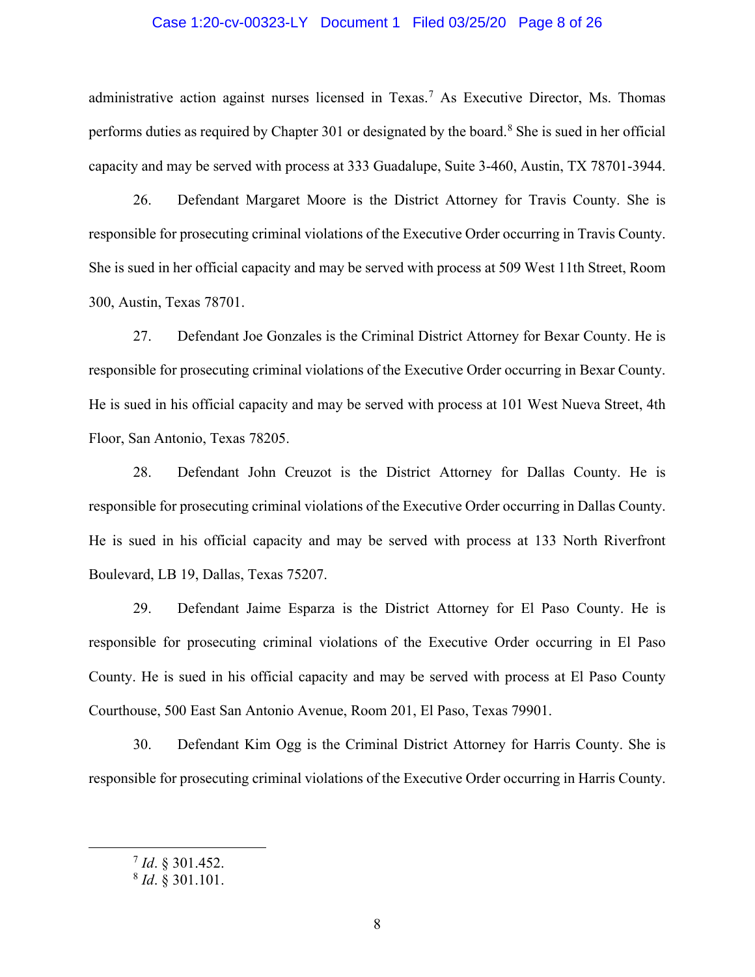#### Case 1:20-cv-00323-LY Document 1 Filed 03/25/20 Page 8 of 26

administrative action against nurses licensed in Texas.<sup>7</sup> As Executive Director, Ms. Thomas performs duties as required by Chapter 301 or designated by the board.<sup>8</sup> She is sued in her official capacity and may be served with process at 333 Guadalupe, Suite 3-460, Austin, TX 78701-3944.

26. Defendant Margaret Moore is the District Attorney for Travis County. She is responsible for prosecuting criminal violations of the Executive Order occurring in Travis County. She is sued in her official capacity and may be served with process at 509 West 11th Street, Room 300, Austin, Texas 78701.

27. Defendant Joe Gonzales is the Criminal District Attorney for Bexar County. He is responsible for prosecuting criminal violations of the Executive Order occurring in Bexar County. He is sued in his official capacity and may be served with process at 101 West Nueva Street, 4th Floor, San Antonio, Texas 78205.

28. Defendant John Creuzot is the District Attorney for Dallas County. He is responsible for prosecuting criminal violations of the Executive Order occurring in Dallas County. He is sued in his official capacity and may be served with process at 133 North Riverfront Boulevard, LB 19, Dallas, Texas 75207.

29. Defendant Jaime Esparza is the District Attorney for El Paso County. He is responsible for prosecuting criminal violations of the Executive Order occurring in El Paso County. He is sued in his official capacity and may be served with process at El Paso County Courthouse, 500 East San Antonio Avenue, Room 201, El Paso, Texas 79901.

30. Defendant Kim Ogg is the Criminal District Attorney for Harris County. She is responsible for prosecuting criminal violations of the Executive Order occurring in Harris County.

<sup>7</sup> *Id*. § 301.452.

<sup>8</sup> *Id*. § 301.101.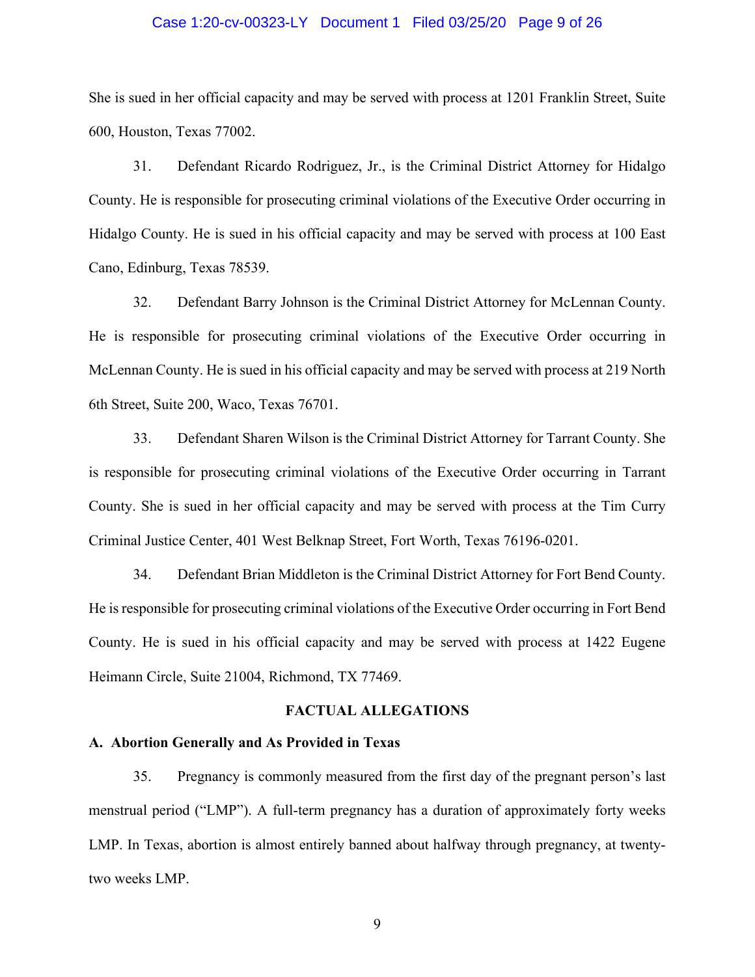#### Case 1:20-cv-00323-LY Document 1 Filed 03/25/20 Page 9 of 26

She is sued in her official capacity and may be served with process at 1201 Franklin Street, Suite 600, Houston, Texas 77002.

31. Defendant Ricardo Rodriguez, Jr., is the Criminal District Attorney for Hidalgo County. He is responsible for prosecuting criminal violations of the Executive Order occurring in Hidalgo County. He is sued in his official capacity and may be served with process at 100 East Cano, Edinburg, Texas 78539.

32. Defendant Barry Johnson is the Criminal District Attorney for McLennan County. He is responsible for prosecuting criminal violations of the Executive Order occurring in McLennan County. He is sued in his official capacity and may be served with process at 219 North 6th Street, Suite 200, Waco, Texas 76701.

33. Defendant Sharen Wilson is the Criminal District Attorney for Tarrant County. She is responsible for prosecuting criminal violations of the Executive Order occurring in Tarrant County. She is sued in her official capacity and may be served with process at the Tim Curry Criminal Justice Center, 401 West Belknap Street, Fort Worth, Texas 76196-0201.

34. Defendant Brian Middleton is the Criminal District Attorney for Fort Bend County. He is responsible for prosecuting criminal violations of the Executive Order occurring in Fort Bend County. He is sued in his official capacity and may be served with process at 1422 Eugene Heimann Circle, Suite 21004, Richmond, TX 77469.

#### **FACTUAL ALLEGATIONS**

#### **A. Abortion Generally and As Provided in Texas**

35. Pregnancy is commonly measured from the first day of the pregnant person's last menstrual period ("LMP"). A full-term pregnancy has a duration of approximately forty weeks LMP. In Texas, abortion is almost entirely banned about halfway through pregnancy, at twentytwo weeks LMP.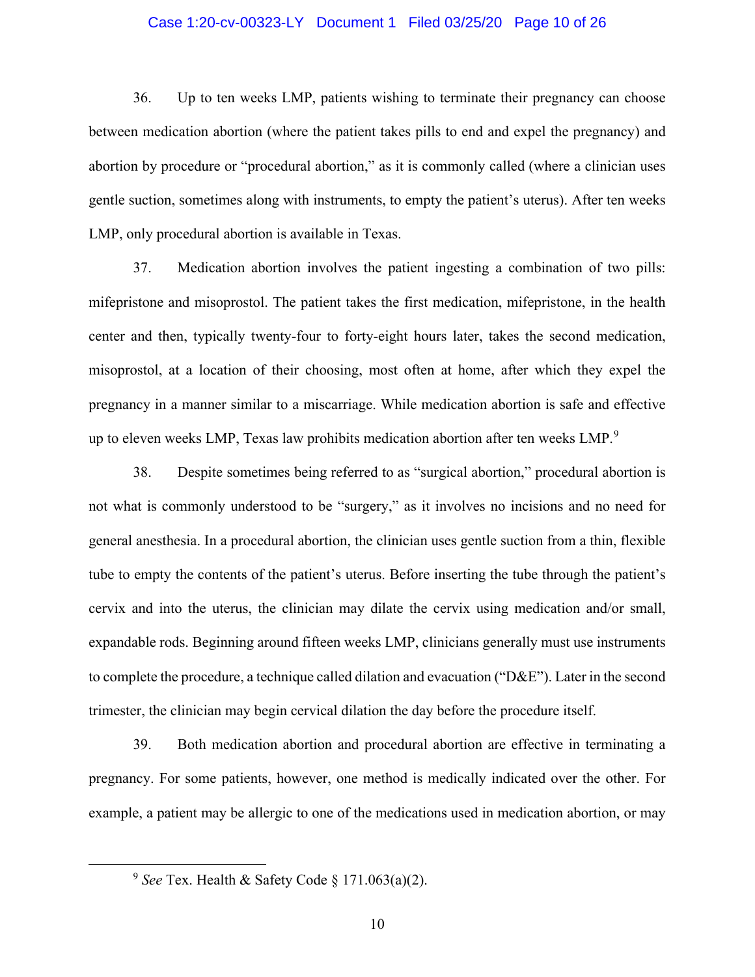#### Case 1:20-cv-00323-LY Document 1 Filed 03/25/20 Page 10 of 26

36. Up to ten weeks LMP, patients wishing to terminate their pregnancy can choose between medication abortion (where the patient takes pills to end and expel the pregnancy) and abortion by procedure or "procedural abortion," as it is commonly called (where a clinician uses gentle suction, sometimes along with instruments, to empty the patient's uterus). After ten weeks LMP, only procedural abortion is available in Texas.

37. Medication abortion involves the patient ingesting a combination of two pills: mifepristone and misoprostol. The patient takes the first medication, mifepristone, in the health center and then, typically twenty-four to forty-eight hours later, takes the second medication, misoprostol, at a location of their choosing, most often at home, after which they expel the pregnancy in a manner similar to a miscarriage. While medication abortion is safe and effective up to eleven weeks LMP, Texas law prohibits medication abortion after ten weeks LMP.<sup>9</sup>

38. Despite sometimes being referred to as "surgical abortion," procedural abortion is not what is commonly understood to be "surgery," as it involves no incisions and no need for general anesthesia. In a procedural abortion, the clinician uses gentle suction from a thin, flexible tube to empty the contents of the patient's uterus. Before inserting the tube through the patient's cervix and into the uterus, the clinician may dilate the cervix using medication and/or small, expandable rods. Beginning around fifteen weeks LMP, clinicians generally must use instruments to complete the procedure, a technique called dilation and evacuation ("D&E"). Later in the second trimester, the clinician may begin cervical dilation the day before the procedure itself.

39. Both medication abortion and procedural abortion are effective in terminating a pregnancy. For some patients, however, one method is medically indicated over the other. For example, a patient may be allergic to one of the medications used in medication abortion, or may

<sup>&</sup>lt;sup>9</sup> *See* Tex. Health & Safety Code § 171.063(a)(2).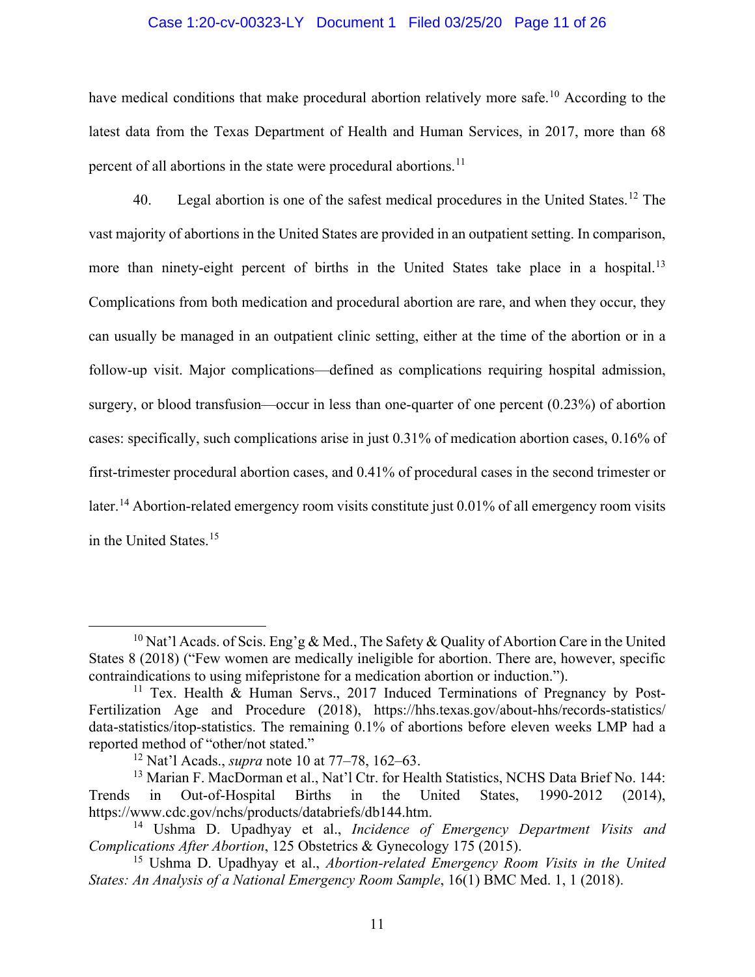#### Case 1:20-cv-00323-LY Document 1 Filed 03/25/20 Page 11 of 26

have medical conditions that make procedural abortion relatively more safe.<sup>10</sup> According to the latest data from the Texas Department of Health and Human Services, in 2017, more than 68 percent of all abortions in the state were procedural abortions.<sup>11</sup>

40. Legal abortion is one of the safest medical procedures in the United States.<sup>12</sup> The vast majority of abortions in the United States are provided in an outpatient setting. In comparison, more than ninety-eight percent of births in the United States take place in a hospital.<sup>13</sup> Complications from both medication and procedural abortion are rare, and when they occur, they can usually be managed in an outpatient clinic setting, either at the time of the abortion or in a follow-up visit. Major complications—defined as complications requiring hospital admission, surgery, or blood transfusion—occur in less than one-quarter of one percent (0.23%) of abortion cases: specifically, such complications arise in just 0.31% of medication abortion cases, 0.16% of first-trimester procedural abortion cases, and 0.41% of procedural cases in the second trimester or later.<sup>14</sup> Abortion-related emergency room visits constitute just 0.01% of all emergency room visits in the United States.<sup>15</sup>

<sup>&</sup>lt;sup>10</sup> Nat'l Acads. of Scis. Eng'g & Med., The Safety & Quality of Abortion Care in the United States 8 (2018) ("Few women are medically ineligible for abortion. There are, however, specific contraindications to using mifepristone for a medication abortion or induction.").

<sup>&</sup>lt;sup>11</sup> Tex. Health & Human Servs., 2017 Induced Terminations of Pregnancy by Post-Fertilization Age and Procedure (2018), https://hhs.texas.gov/about-hhs/records-statistics/ data-statistics/itop-statistics. The remaining 0.1% of abortions before eleven weeks LMP had a reported method of "other/not stated."

<sup>12</sup> Nat'l Acads., *supra* note 10 at 77–78, 162–63.

<sup>&</sup>lt;sup>13</sup> Marian F. MacDorman et al., Nat'l Ctr. for Health Statistics, NCHS Data Brief No. 144: Trends in Out-of-Hospital Births in the United States, 1990-2012 (2014), https://www.cdc.gov/nchs/products/databriefs/db144.htm.

<sup>14</sup> Ushma D. Upadhyay et al., *Incidence of Emergency Department Visits and Complications After Abortion*, 125 Obstetrics & Gynecology 175 (2015).

<sup>15</sup> Ushma D. Upadhyay et al., *Abortion-related Emergency Room Visits in the United States: An Analysis of a National Emergency Room Sample*, 16(1) BMC Med. 1, 1 (2018).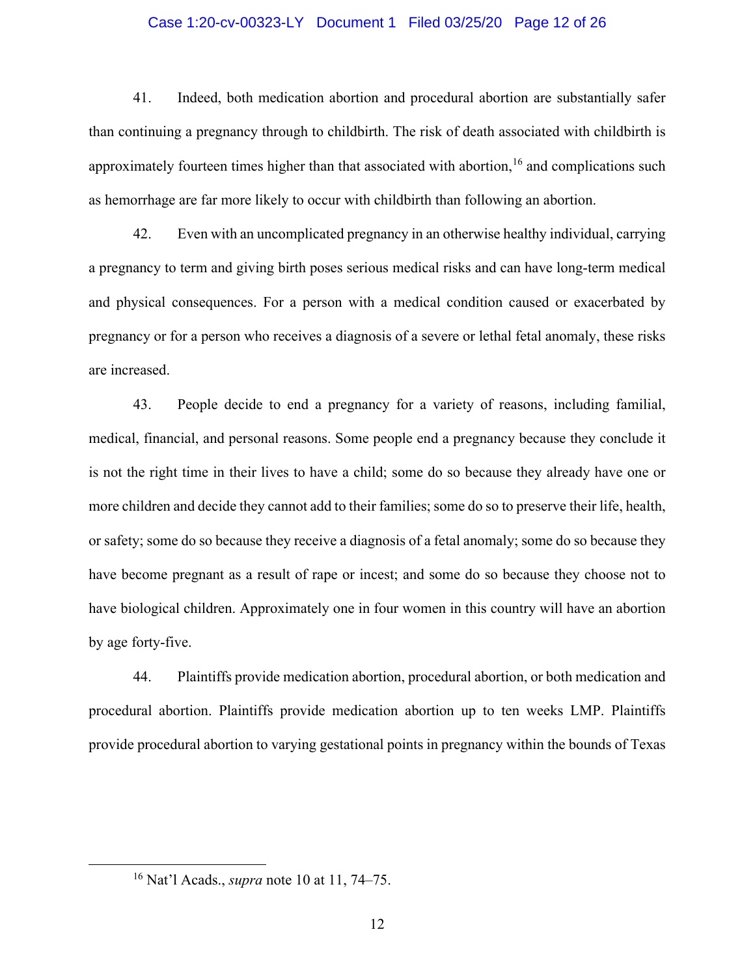#### Case 1:20-cv-00323-LY Document 1 Filed 03/25/20 Page 12 of 26

41. Indeed, both medication abortion and procedural abortion are substantially safer than continuing a pregnancy through to childbirth. The risk of death associated with childbirth is approximately fourteen times higher than that associated with abortion,  $16$  and complications such as hemorrhage are far more likely to occur with childbirth than following an abortion.

42. Even with an uncomplicated pregnancy in an otherwise healthy individual, carrying a pregnancy to term and giving birth poses serious medical risks and can have long-term medical and physical consequences. For a person with a medical condition caused or exacerbated by pregnancy or for a person who receives a diagnosis of a severe or lethal fetal anomaly, these risks are increased.

43. People decide to end a pregnancy for a variety of reasons, including familial, medical, financial, and personal reasons. Some people end a pregnancy because they conclude it is not the right time in their lives to have a child; some do so because they already have one or more children and decide they cannot add to their families; some do so to preserve their life, health, or safety; some do so because they receive a diagnosis of a fetal anomaly; some do so because they have become pregnant as a result of rape or incest; and some do so because they choose not to have biological children. Approximately one in four women in this country will have an abortion by age forty-five.

44. Plaintiffs provide medication abortion, procedural abortion, or both medication and procedural abortion. Plaintiffs provide medication abortion up to ten weeks LMP. Plaintiffs provide procedural abortion to varying gestational points in pregnancy within the bounds of Texas

<sup>16</sup> Nat'l Acads., *supra* note 10 at 11, 74–75.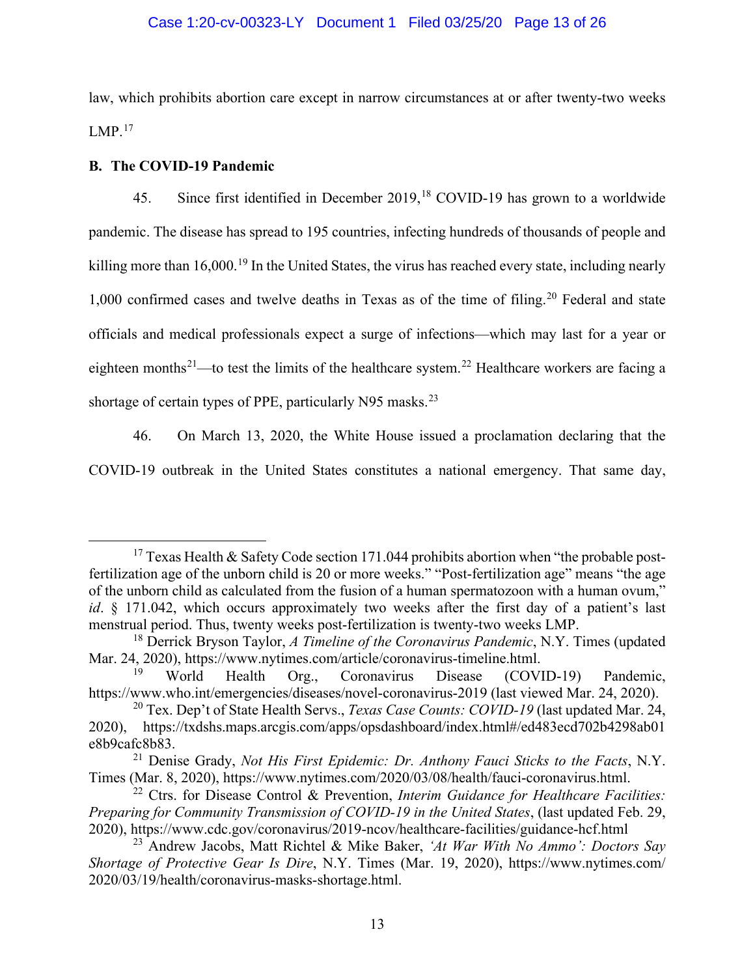## Case 1:20-cv-00323-LY Document 1 Filed 03/25/20 Page 13 of 26

law, which prohibits abortion care except in narrow circumstances at or after twenty-two weeks  $LMP.<sup>17</sup>$ 

#### **B. The COVID-19 Pandemic**

45. Since first identified in December 2019,<sup>18</sup> COVID-19 has grown to a worldwide pandemic. The disease has spread to 195 countries, infecting hundreds of thousands of people and killing more than  $16,000$ .<sup>19</sup> In the United States, the virus has reached every state, including nearly  $1,000$  confirmed cases and twelve deaths in Texas as of the time of filing.<sup>20</sup> Federal and state officials and medical professionals expect a surge of infections—which may last for a year or eighteen months<sup>21</sup>—to test the limits of the healthcare system.<sup>22</sup> Healthcare workers are facing a shortage of certain types of PPE, particularly N95 masks.<sup>23</sup>

46. On March 13, 2020, the White House issued a proclamation declaring that the COVID-19 outbreak in the United States constitutes a national emergency. That same day,

<sup>&</sup>lt;sup>17</sup> Texas Health & Safety Code section 171.044 prohibits abortion when "the probable postfertilization age of the unborn child is 20 or more weeks." "Post-fertilization age" means "the age of the unborn child as calculated from the fusion of a human spermatozoon with a human ovum," *id*. § 171.042, which occurs approximately two weeks after the first day of a patient's last menstrual period. Thus, twenty weeks post-fertilization is twenty-two weeks LMP.

<sup>18</sup> Derrick Bryson Taylor, *A Timeline of the Coronavirus Pandemic*, N.Y. Times (updated Mar. 24, 2020), https://www.nytimes.com/article/coronavirus-timeline.html.<br><sup>19</sup> World Health Org Coronavirus Disease (COVI)

World Health Org., Coronavirus Disease (COVID-19) Pandemic, https://www.who.int/emergencies/diseases/novel-coronavirus-2019 (last viewed Mar. 24, 2020).

<sup>20</sup> Tex. Dep't of State Health Servs., *Texas Case Counts: COVID-19* (last updated Mar. 24, 2020), https://txdshs.maps.arcgis.com/apps/opsdashboard/index.html#/ed483ecd702b4298ab01 e8b9cafc8b83.

<sup>21</sup> Denise Grady, *Not His First Epidemic: Dr. Anthony Fauci Sticks to the Facts*, N.Y. Times (Mar. 8, 2020), https://www.nytimes.com/2020/03/08/health/fauci-coronavirus.html.

<sup>22</sup> Ctrs. for Disease Control & Prevention, *Interim Guidance for Healthcare Facilities: Preparing for Community Transmission of COVID-19 in the United States*, (last updated Feb. 29, 2020), https://www.cdc.gov/coronavirus/2019-ncov/healthcare-facilities/guidance-hcf.html

<sup>23</sup> Andrew Jacobs, Matt Richtel & Mike Baker, *'At War With No Ammo': Doctors Say Shortage of Protective Gear Is Dire*, N.Y. Times (Mar. 19, 2020), https://www.nytimes.com/ 2020/03/19/health/coronavirus-masks-shortage.html.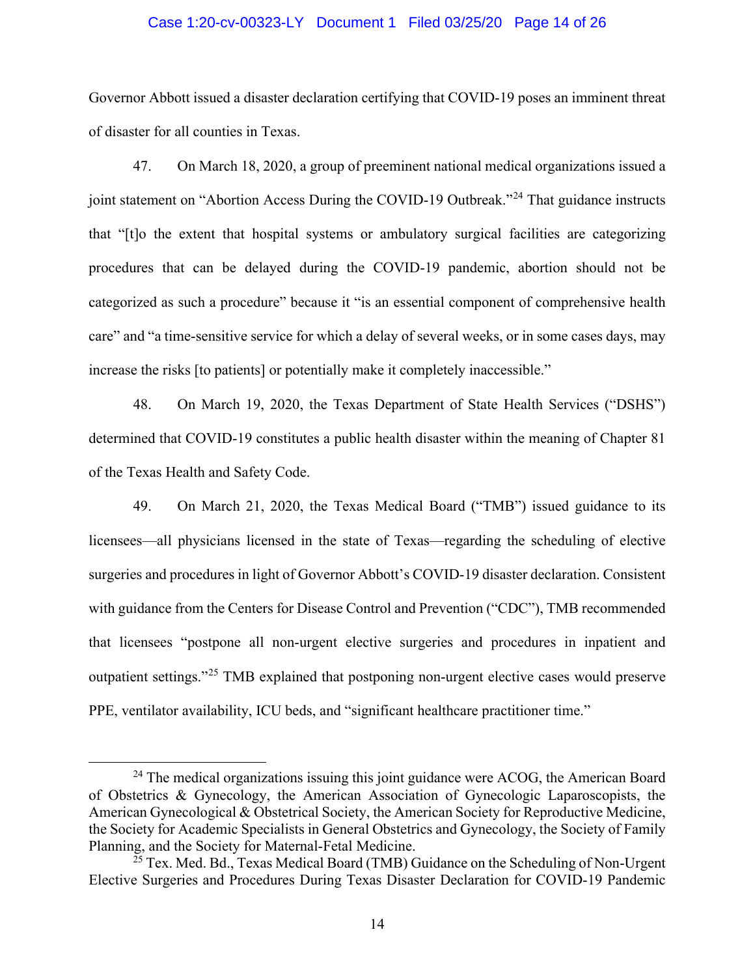#### Case 1:20-cv-00323-LY Document 1 Filed 03/25/20 Page 14 of 26

Governor Abbott issued a disaster declaration certifying that COVID-19 poses an imminent threat of disaster for all counties in Texas.

47. On March 18, 2020, a group of preeminent national medical organizations issued a joint statement on "Abortion Access During the COVID-19 Outbreak."<sup>24</sup> That guidance instructs that "[t]o the extent that hospital systems or ambulatory surgical facilities are categorizing procedures that can be delayed during the COVID-19 pandemic, abortion should not be categorized as such a procedure" because it "is an essential component of comprehensive health care" and "a time-sensitive service for which a delay of several weeks, or in some cases days, may increase the risks [to patients] or potentially make it completely inaccessible."

48. On March 19, 2020, the Texas Department of State Health Services ("DSHS") determined that COVID-19 constitutes a public health disaster within the meaning of Chapter 81 of the Texas Health and Safety Code.

49. On March 21, 2020, the Texas Medical Board ("TMB") issued guidance to its licensees—all physicians licensed in the state of Texas—regarding the scheduling of elective surgeries and procedures in light of Governor Abbott's COVID-19 disaster declaration. Consistent with guidance from the Centers for Disease Control and Prevention ("CDC"), TMB recommended that licensees "postpone all non-urgent elective surgeries and procedures in inpatient and outpatient settings."<sup>25</sup> TMB explained that postponing non-urgent elective cases would preserve PPE, ventilator availability, ICU beds, and "significant healthcare practitioner time."

<sup>&</sup>lt;sup>24</sup> The medical organizations issuing this joint guidance were ACOG, the American Board of Obstetrics & Gynecology, the American Association of Gynecologic Laparoscopists, the American Gynecological & Obstetrical Society, the American Society for Reproductive Medicine, the Society for Academic Specialists in General Obstetrics and Gynecology, the Society of Family Planning, and the Society for Maternal-Fetal Medicine.

 $^{25}$  Tex. Med. Bd., Texas Medical Board (TMB) Guidance on the Scheduling of Non-Urgent Elective Surgeries and Procedures During Texas Disaster Declaration for COVID-19 Pandemic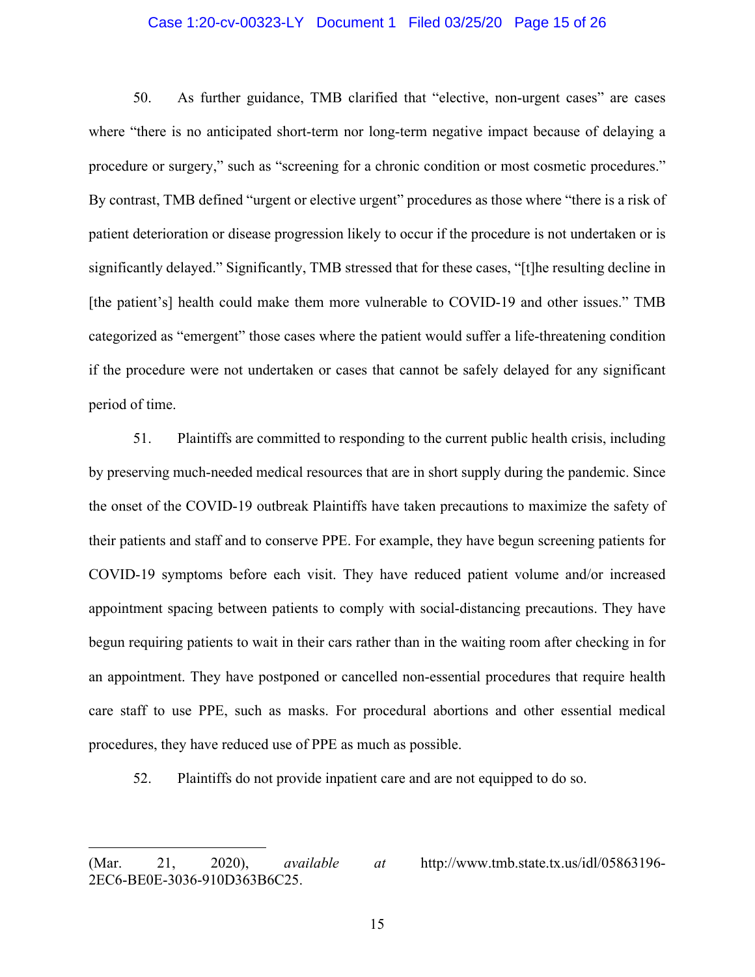#### Case 1:20-cv-00323-LY Document 1 Filed 03/25/20 Page 15 of 26

50. As further guidance, TMB clarified that "elective, non-urgent cases" are cases where "there is no anticipated short-term nor long-term negative impact because of delaying a procedure or surgery," such as "screening for a chronic condition or most cosmetic procedures." By contrast, TMB defined "urgent or elective urgent" procedures as those where "there is a risk of patient deterioration or disease progression likely to occur if the procedure is not undertaken or is significantly delayed." Significantly, TMB stressed that for these cases, "[t]he resulting decline in [the patient's] health could make them more vulnerable to COVID-19 and other issues." TMB categorized as "emergent" those cases where the patient would suffer a life-threatening condition if the procedure were not undertaken or cases that cannot be safely delayed for any significant period of time.

51. Plaintiffs are committed to responding to the current public health crisis, including by preserving much-needed medical resources that are in short supply during the pandemic. Since the onset of the COVID-19 outbreak Plaintiffs have taken precautions to maximize the safety of their patients and staff and to conserve PPE. For example, they have begun screening patients for COVID-19 symptoms before each visit. They have reduced patient volume and/or increased appointment spacing between patients to comply with social-distancing precautions. They have begun requiring patients to wait in their cars rather than in the waiting room after checking in for an appointment. They have postponed or cancelled non-essential procedures that require health care staff to use PPE, such as masks. For procedural abortions and other essential medical procedures, they have reduced use of PPE as much as possible.

52. Plaintiffs do not provide inpatient care and are not equipped to do so.

<sup>(</sup>Mar. 21, 2020), *available at* http://www.tmb.state.tx.us/idl/05863196- 2EC6-BE0E-3036-910D363B6C25.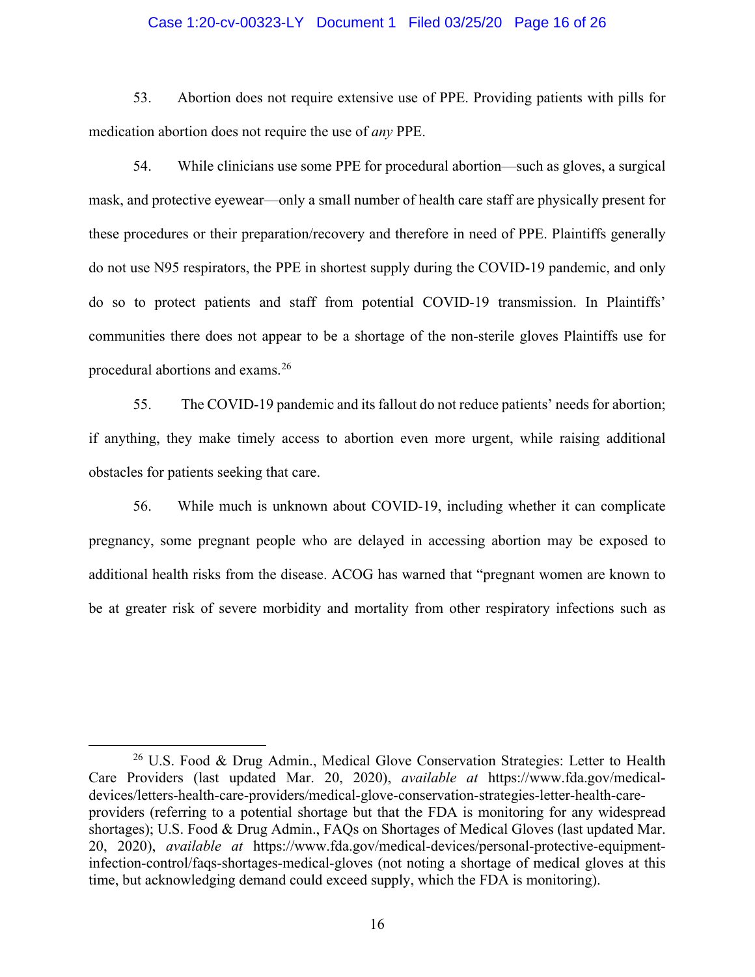#### Case 1:20-cv-00323-LY Document 1 Filed 03/25/20 Page 16 of 26

53. Abortion does not require extensive use of PPE. Providing patients with pills for medication abortion does not require the use of *any* PPE.

54. While clinicians use some PPE for procedural abortion—such as gloves, a surgical mask, and protective eyewear—only a small number of health care staff are physically present for these procedures or their preparation/recovery and therefore in need of PPE. Plaintiffs generally do not use N95 respirators, the PPE in shortest supply during the COVID-19 pandemic, and only do so to protect patients and staff from potential COVID-19 transmission. In Plaintiffs' communities there does not appear to be a shortage of the non-sterile gloves Plaintiffs use for procedural abortions and exams.<sup>26</sup>

55. The COVID-19 pandemic and its fallout do not reduce patients' needs for abortion; if anything, they make timely access to abortion even more urgent, while raising additional obstacles for patients seeking that care.

56. While much is unknown about COVID-19, including whether it can complicate pregnancy, some pregnant people who are delayed in accessing abortion may be exposed to additional health risks from the disease. ACOG has warned that "pregnant women are known to be at greater risk of severe morbidity and mortality from other respiratory infections such as

<sup>&</sup>lt;sup>26</sup> U.S. Food & Drug Admin., Medical Glove Conservation Strategies: Letter to Health Care Providers (last updated Mar. 20, 2020), *available at* https://www.fda.gov/medicaldevices/letters-health-care-providers/medical-glove-conservation-strategies-letter-health-careproviders (referring to a potential shortage but that the FDA is monitoring for any widespread shortages); U.S. Food & Drug Admin., FAQs on Shortages of Medical Gloves (last updated Mar. 20, 2020), *available at* https://www.fda.gov/medical-devices/personal-protective-equipmentinfection-control/faqs-shortages-medical-gloves (not noting a shortage of medical gloves at this time, but acknowledging demand could exceed supply, which the FDA is monitoring).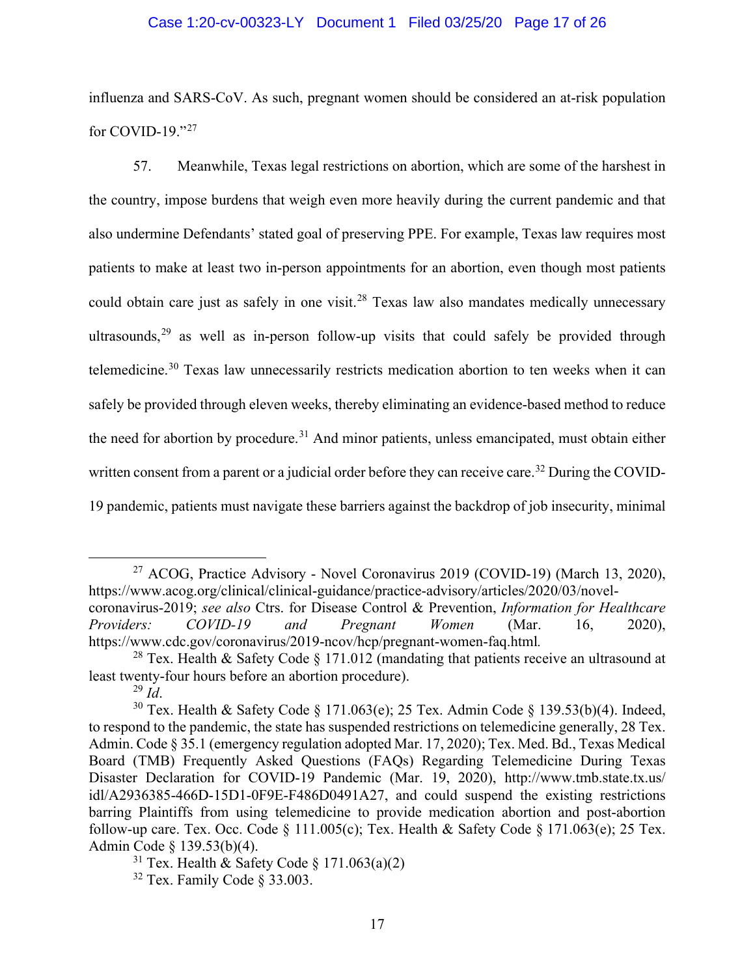### Case 1:20-cv-00323-LY Document 1 Filed 03/25/20 Page 17 of 26

influenza and SARS-CoV. As such, pregnant women should be considered an at-risk population for COVID-19." $^{27}$ 

57. Meanwhile, Texas legal restrictions on abortion, which are some of the harshest in the country, impose burdens that weigh even more heavily during the current pandemic and that also undermine Defendants' stated goal of preserving PPE. For example, Texas law requires most patients to make at least two in-person appointments for an abortion, even though most patients could obtain care just as safely in one visit.<sup>28</sup> Texas law also mandates medically unnecessary ultrasounds,  $29$  as well as in-person follow-up visits that could safely be provided through telemedicine.<sup>30</sup> Texas law unnecessarily restricts medication abortion to ten weeks when it can safely be provided through eleven weeks, thereby eliminating an evidence-based method to reduce the need for abortion by procedure.<sup>31</sup> And minor patients, unless emancipated, must obtain either written consent from a parent or a judicial order before they can receive care.<sup>32</sup> During the COVID-19 pandemic, patients must navigate these barriers against the backdrop of job insecurity, minimal

<sup>&</sup>lt;sup>27</sup> ACOG, Practice Advisory - Novel Coronavirus 2019 (COVID-19) (March 13, 2020), https://www.acog.org/clinical/clinical-guidance/practice-advisory/articles/2020/03/novelcoronavirus-2019; *see also* Ctrs. for Disease Control & Prevention, *Information for Healthcare Providers: COVID-19 and Pregnant Women* (Mar. 16, 2020), https://www.cdc.gov/coronavirus/2019-ncov/hcp/pregnant-women-faq.html*.*

<sup>&</sup>lt;sup>28</sup> Tex. Health & Safety Code  $\S 171.012$  (mandating that patients receive an ultrasound at least twenty-four hours before an abortion procedure).

 $^{29}$  *Id.* 

<sup>&</sup>lt;sup>30</sup> Tex. Health & Safety Code § 171.063(e); 25 Tex. Admin Code § 139.53(b)(4). Indeed, to respond to the pandemic, the state has suspended restrictions on telemedicine generally, 28 Tex. Admin. Code § 35.1 (emergency regulation adopted Mar. 17, 2020); Tex. Med. Bd., Texas Medical Board (TMB) Frequently Asked Questions (FAQs) Regarding Telemedicine During Texas Disaster Declaration for COVID-19 Pandemic (Mar. 19, 2020), http://www.tmb.state.tx.us/ idl/A2936385-466D-15D1-0F9E-F486D0491A27, and could suspend the existing restrictions barring Plaintiffs from using telemedicine to provide medication abortion and post-abortion follow-up care. Tex. Occ. Code  $\S$  111.005(c); Tex. Health & Safety Code  $\S$  171.063(e); 25 Tex. Admin Code § 139.53(b)(4).

<sup>&</sup>lt;sup>31</sup> Tex. Health & Safety Code  $\S$  171.063(a)(2)

 $32$  Tex. Family Code § 33.003.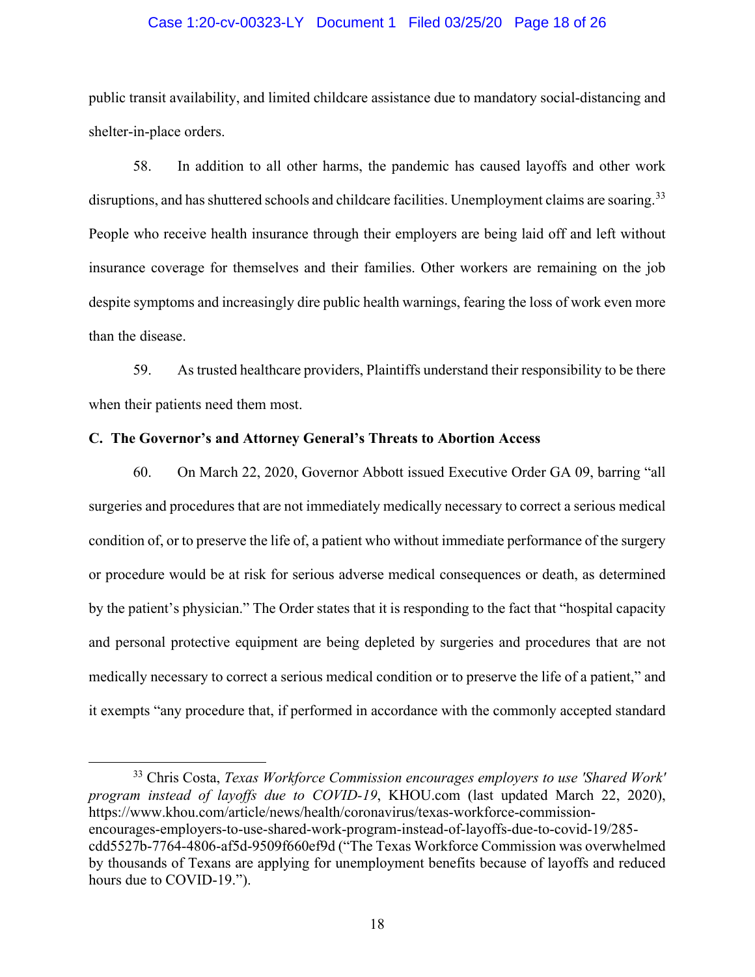#### Case 1:20-cv-00323-LY Document 1 Filed 03/25/20 Page 18 of 26

public transit availability, and limited childcare assistance due to mandatory social-distancing and shelter-in-place orders.

58. In addition to all other harms, the pandemic has caused layoffs and other work disruptions, and has shuttered schools and childcare facilities. Unemployment claims are soaring.<sup>33</sup> People who receive health insurance through their employers are being laid off and left without insurance coverage for themselves and their families. Other workers are remaining on the job despite symptoms and increasingly dire public health warnings, fearing the loss of work even more than the disease.

59. As trusted healthcare providers, Plaintiffs understand their responsibility to be there when their patients need them most.

#### **C. The Governor's and Attorney General's Threats to Abortion Access**

60. On March 22, 2020, Governor Abbott issued Executive Order GA 09, barring "all surgeries and procedures that are not immediately medically necessary to correct a serious medical condition of, or to preserve the life of, a patient who without immediate performance of the surgery or procedure would be at risk for serious adverse medical consequences or death, as determined by the patient's physician." The Order states that it is responding to the fact that "hospital capacity and personal protective equipment are being depleted by surgeries and procedures that are not medically necessary to correct a serious medical condition or to preserve the life of a patient," and it exempts "any procedure that, if performed in accordance with the commonly accepted standard

<sup>33</sup> Chris Costa, *Texas Workforce Commission encourages employers to use 'Shared Work' program instead of layoffs due to COVID-19*, KHOU.com (last updated March 22, 2020), https://www.khou.com/article/news/health/coronavirus/texas-workforce-commissionencourages-employers-to-use-shared-work-program-instead-of-layoffs-due-to-covid-19/285 cdd5527b-7764-4806-af5d-9509f660ef9d ("The Texas Workforce Commission was overwhelmed by thousands of Texans are applying for unemployment benefits because of layoffs and reduced hours due to COVID-19.").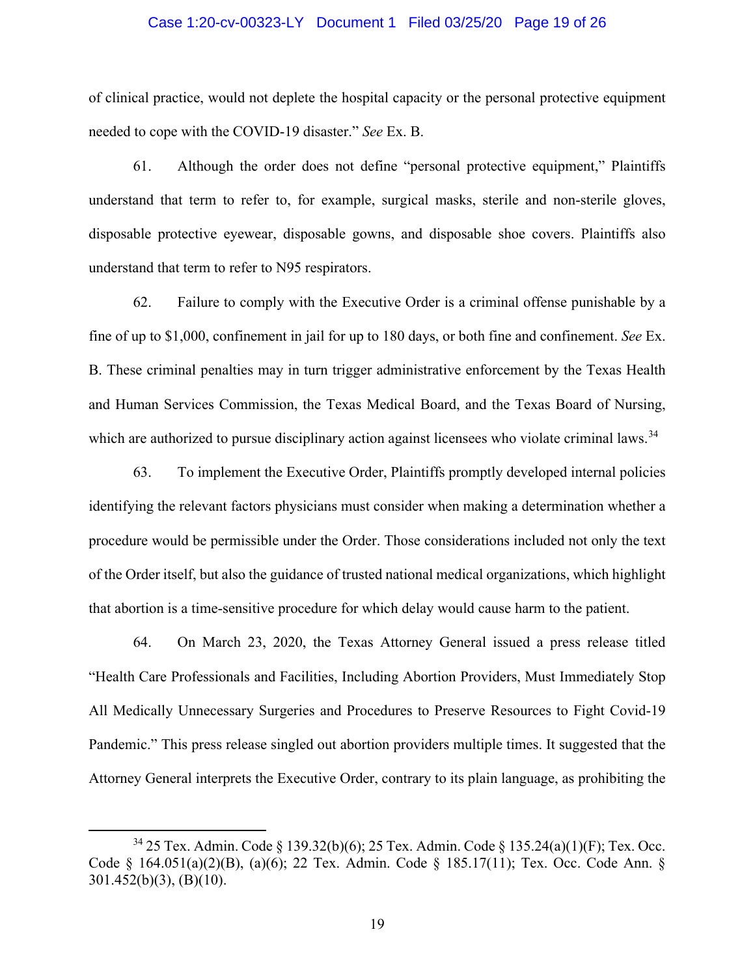#### Case 1:20-cv-00323-LY Document 1 Filed 03/25/20 Page 19 of 26

of clinical practice, would not deplete the hospital capacity or the personal protective equipment needed to cope with the COVID-19 disaster." *See* Ex. B.

61. Although the order does not define "personal protective equipment," Plaintiffs understand that term to refer to, for example, surgical masks, sterile and non-sterile gloves, disposable protective eyewear, disposable gowns, and disposable shoe covers. Plaintiffs also understand that term to refer to N95 respirators.

62. Failure to comply with the Executive Order is a criminal offense punishable by a fine of up to \$1,000, confinement in jail for up to 180 days, or both fine and confinement. *See* Ex. B. These criminal penalties may in turn trigger administrative enforcement by the Texas Health and Human Services Commission, the Texas Medical Board, and the Texas Board of Nursing, which are authorized to pursue disciplinary action against licensees who violate criminal laws.<sup>34</sup>

63. To implement the Executive Order, Plaintiffs promptly developed internal policies identifying the relevant factors physicians must consider when making a determination whether a procedure would be permissible under the Order. Those considerations included not only the text of the Order itself, but also the guidance of trusted national medical organizations, which highlight that abortion is a time-sensitive procedure for which delay would cause harm to the patient.

64. On March 23, 2020, the Texas Attorney General issued a press release titled "Health Care Professionals and Facilities, Including Abortion Providers, Must Immediately Stop All Medically Unnecessary Surgeries and Procedures to Preserve Resources to Fight Covid-19 Pandemic." This press release singled out abortion providers multiple times. It suggested that the Attorney General interprets the Executive Order, contrary to its plain language, as prohibiting the

<sup>34</sup> 25 Tex. Admin. Code § 139.32(b)(6); 25 Tex. Admin. Code § 135.24(a)(1)(F); Tex. Occ. Code § 164.051(a)(2)(B), (a)(6); 22 Tex. Admin. Code § 185.17(11); Tex. Occ. Code Ann. § 301.452(b)(3), (B)(10).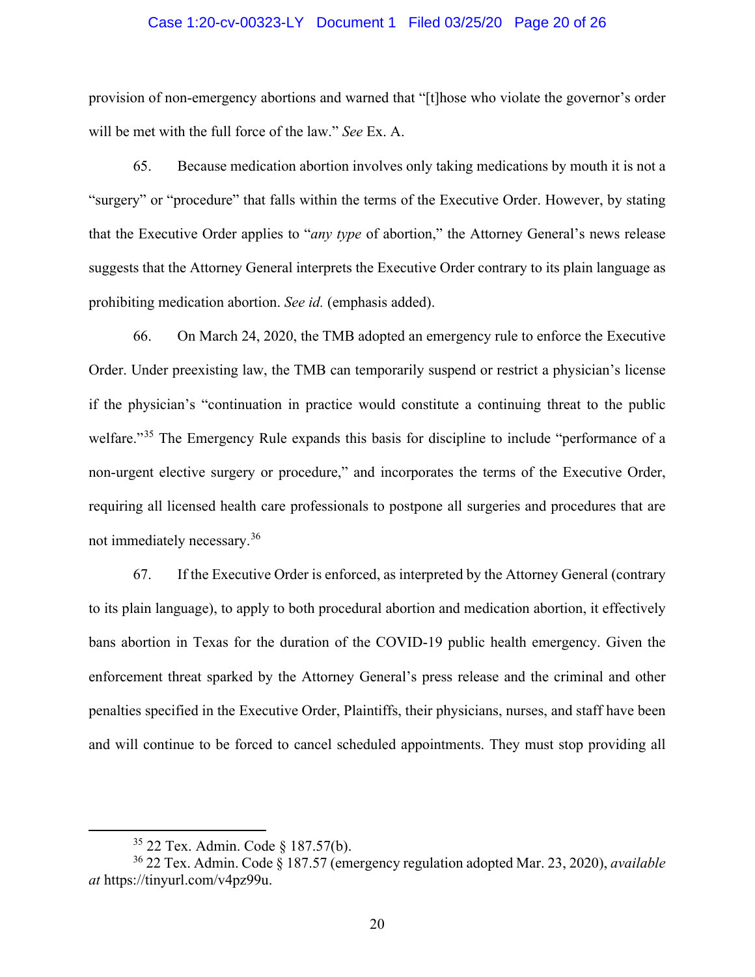#### Case 1:20-cv-00323-LY Document 1 Filed 03/25/20 Page 20 of 26

provision of non-emergency abortions and warned that "[t]hose who violate the governor's order will be met with the full force of the law." *See* Ex. A.

65. Because medication abortion involves only taking medications by mouth it is not a "surgery" or "procedure" that falls within the terms of the Executive Order. However, by stating that the Executive Order applies to "*any type* of abortion," the Attorney General's news release suggests that the Attorney General interprets the Executive Order contrary to its plain language as prohibiting medication abortion. *See id.* (emphasis added).

66. On March 24, 2020, the TMB adopted an emergency rule to enforce the Executive Order. Under preexisting law, the TMB can temporarily suspend or restrict a physician's license if the physician's "continuation in practice would constitute a continuing threat to the public welfare."<sup>35</sup> The Emergency Rule expands this basis for discipline to include "performance of a non-urgent elective surgery or procedure," and incorporates the terms of the Executive Order, requiring all licensed health care professionals to postpone all surgeries and procedures that are not immediately necessary.<sup>36</sup>

67. If the Executive Order is enforced, as interpreted by the Attorney General (contrary to its plain language), to apply to both procedural abortion and medication abortion, it effectively bans abortion in Texas for the duration of the COVID-19 public health emergency. Given the enforcement threat sparked by the Attorney General's press release and the criminal and other penalties specified in the Executive Order, Plaintiffs, their physicians, nurses, and staff have been and will continue to be forced to cancel scheduled appointments. They must stop providing all

<sup>35</sup> 22 Tex. Admin. Code § 187.57(b).

<sup>36</sup> 22 Tex. Admin. Code § 187.57 (emergency regulation adopted Mar. 23, 2020), *available at* https://tinyurl.com/v4pz99u.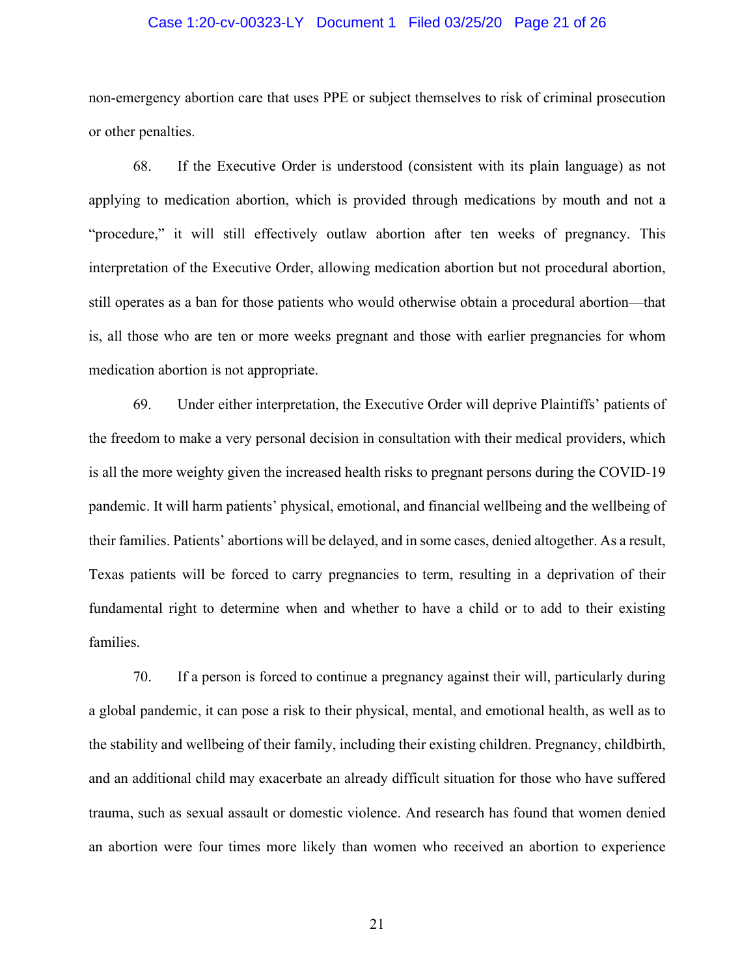#### Case 1:20-cv-00323-LY Document 1 Filed 03/25/20 Page 21 of 26

non-emergency abortion care that uses PPE or subject themselves to risk of criminal prosecution or other penalties.

68. If the Executive Order is understood (consistent with its plain language) as not applying to medication abortion, which is provided through medications by mouth and not a "procedure," it will still effectively outlaw abortion after ten weeks of pregnancy. This interpretation of the Executive Order, allowing medication abortion but not procedural abortion, still operates as a ban for those patients who would otherwise obtain a procedural abortion—that is, all those who are ten or more weeks pregnant and those with earlier pregnancies for whom medication abortion is not appropriate.

69. Under either interpretation, the Executive Order will deprive Plaintiffs' patients of the freedom to make a very personal decision in consultation with their medical providers, which is all the more weighty given the increased health risks to pregnant persons during the COVID-19 pandemic. It will harm patients' physical, emotional, and financial wellbeing and the wellbeing of their families. Patients' abortions will be delayed, and in some cases, denied altogether. As a result, Texas patients will be forced to carry pregnancies to term, resulting in a deprivation of their fundamental right to determine when and whether to have a child or to add to their existing families.

70. If a person is forced to continue a pregnancy against their will, particularly during a global pandemic, it can pose a risk to their physical, mental, and emotional health, as well as to the stability and wellbeing of their family, including their existing children. Pregnancy, childbirth, and an additional child may exacerbate an already difficult situation for those who have suffered trauma, such as sexual assault or domestic violence. And research has found that women denied an abortion were four times more likely than women who received an abortion to experience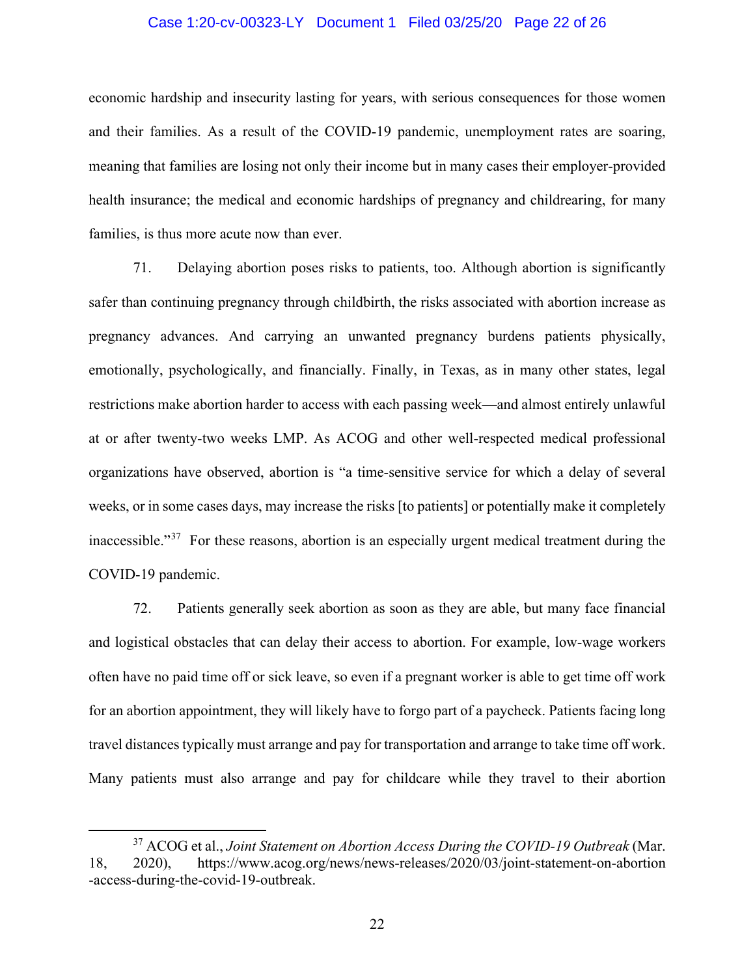#### Case 1:20-cv-00323-LY Document 1 Filed 03/25/20 Page 22 of 26

economic hardship and insecurity lasting for years, with serious consequences for those women and their families. As a result of the COVID-19 pandemic, unemployment rates are soaring, meaning that families are losing not only their income but in many cases their employer-provided health insurance; the medical and economic hardships of pregnancy and childrearing, for many families, is thus more acute now than ever.

71. Delaying abortion poses risks to patients, too. Although abortion is significantly safer than continuing pregnancy through childbirth, the risks associated with abortion increase as pregnancy advances. And carrying an unwanted pregnancy burdens patients physically, emotionally, psychologically, and financially. Finally, in Texas, as in many other states, legal restrictions make abortion harder to access with each passing week—and almost entirely unlawful at or after twenty-two weeks LMP. As ACOG and other well-respected medical professional organizations have observed, abortion is "a time-sensitive service for which a delay of several weeks, or in some cases days, may increase the risks [to patients] or potentially make it completely inaccessible."<sup>37</sup> For these reasons, abortion is an especially urgent medical treatment during the COVID-19 pandemic.

72. Patients generally seek abortion as soon as they are able, but many face financial and logistical obstacles that can delay their access to abortion. For example, low-wage workers often have no paid time off or sick leave, so even if a pregnant worker is able to get time off work for an abortion appointment, they will likely have to forgo part of a paycheck. Patients facing long travel distances typically must arrange and pay for transportation and arrange to take time off work. Many patients must also arrange and pay for childcare while they travel to their abortion

<sup>37</sup> ACOG et al., *Joint Statement on Abortion Access During the COVID-19 Outbreak* (Mar. 18, 2020), https://www.acog.org/news/news-releases/2020/03/joint-statement-on-abortion -access-during-the-covid-19-outbreak.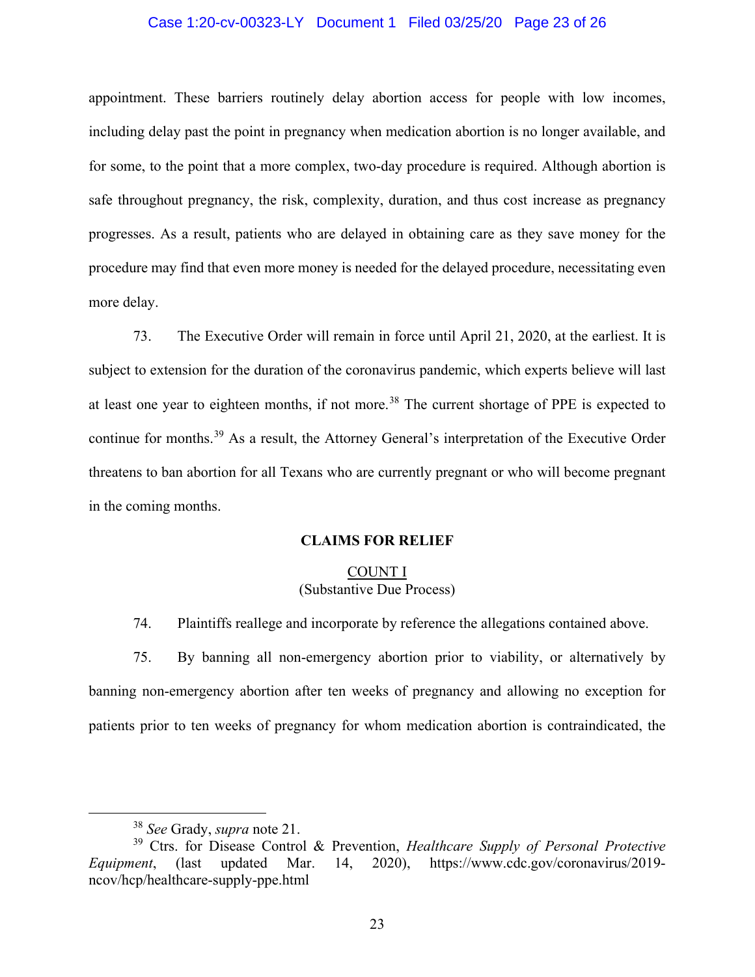#### Case 1:20-cv-00323-LY Document 1 Filed 03/25/20 Page 23 of 26

appointment. These barriers routinely delay abortion access for people with low incomes, including delay past the point in pregnancy when medication abortion is no longer available, and for some, to the point that a more complex, two-day procedure is required. Although abortion is safe throughout pregnancy, the risk, complexity, duration, and thus cost increase as pregnancy progresses. As a result, patients who are delayed in obtaining care as they save money for the procedure may find that even more money is needed for the delayed procedure, necessitating even more delay.

73. The Executive Order will remain in force until April 21, 2020, at the earliest. It is subject to extension for the duration of the coronavirus pandemic, which experts believe will last at least one year to eighteen months, if not more.<sup>38</sup> The current shortage of PPE is expected to continue for months.<sup>39</sup> As a result, the Attorney General's interpretation of the Executive Order threatens to ban abortion for all Texans who are currently pregnant or who will become pregnant in the coming months.

#### **CLAIMS FOR RELIEF**

### COUNT I (Substantive Due Process)

74. Plaintiffs reallege and incorporate by reference the allegations contained above.

75. By banning all non-emergency abortion prior to viability, or alternatively by banning non-emergency abortion after ten weeks of pregnancy and allowing no exception for patients prior to ten weeks of pregnancy for whom medication abortion is contraindicated, the

<sup>38</sup> *See* Grady, *supra* note 21.

<sup>39</sup> Ctrs. for Disease Control & Prevention, *Healthcare Supply of Personal Protective Equipment*, (last updated Mar. 14, 2020), https://www.cdc.gov/coronavirus/2019 ncov/hcp/healthcare-supply-ppe.html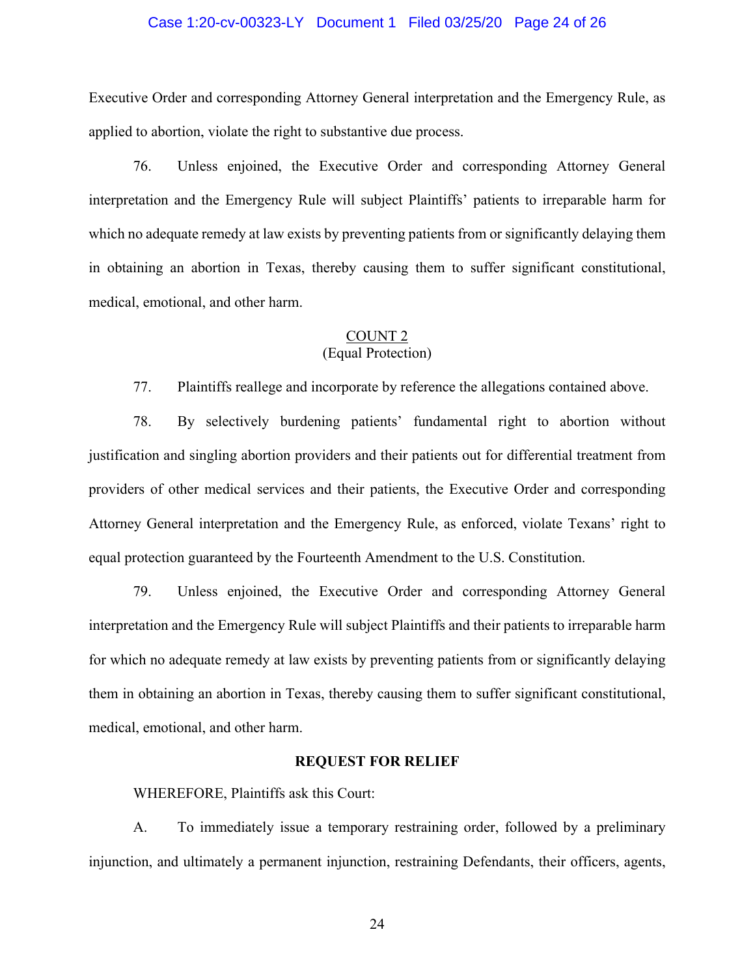#### Case 1:20-cv-00323-LY Document 1 Filed 03/25/20 Page 24 of 26

Executive Order and corresponding Attorney General interpretation and the Emergency Rule, as applied to abortion, violate the right to substantive due process.

76. Unless enjoined, the Executive Order and corresponding Attorney General interpretation and the Emergency Rule will subject Plaintiffs' patients to irreparable harm for which no adequate remedy at law exists by preventing patients from or significantly delaying them in obtaining an abortion in Texas, thereby causing them to suffer significant constitutional, medical, emotional, and other harm.

## COUNT 2

# (Equal Protection)

77. Plaintiffs reallege and incorporate by reference the allegations contained above.

78. By selectively burdening patients' fundamental right to abortion without justification and singling abortion providers and their patients out for differential treatment from providers of other medical services and their patients, the Executive Order and corresponding Attorney General interpretation and the Emergency Rule, as enforced, violate Texans' right to equal protection guaranteed by the Fourteenth Amendment to the U.S. Constitution.

79. Unless enjoined, the Executive Order and corresponding Attorney General interpretation and the Emergency Rule will subject Plaintiffs and their patients to irreparable harm for which no adequate remedy at law exists by preventing patients from or significantly delaying them in obtaining an abortion in Texas, thereby causing them to suffer significant constitutional, medical, emotional, and other harm.

# **REQUEST FOR RELIEF**

WHEREFORE, Plaintiffs ask this Court:

A. To immediately issue a temporary restraining order, followed by a preliminary injunction, and ultimately a permanent injunction, restraining Defendants, their officers, agents,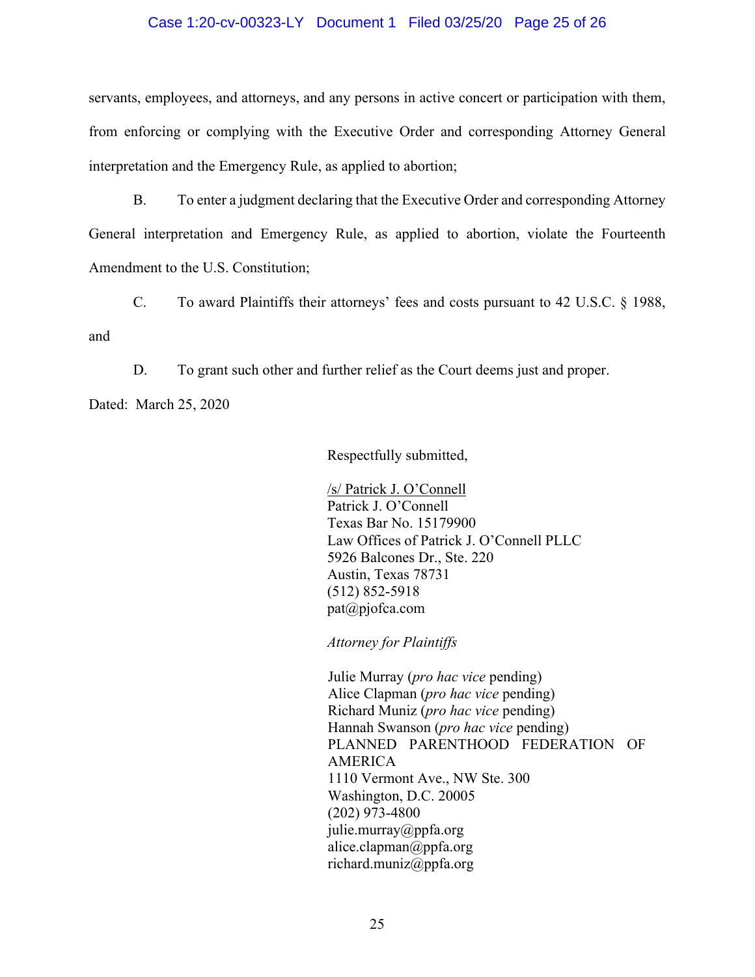#### Case 1:20-cv-00323-LY Document 1 Filed 03/25/20 Page 25 of 26

servants, employees, and attorneys, and any persons in active concert or participation with them, from enforcing or complying with the Executive Order and corresponding Attorney General interpretation and the Emergency Rule, as applied to abortion;

B. To enter a judgment declaring that the Executive Order and corresponding Attorney General interpretation and Emergency Rule, as applied to abortion, violate the Fourteenth Amendment to the U.S. Constitution;

C. To award Plaintiffs their attorneys' fees and costs pursuant to 42 U.S.C. § 1988, and

D. To grant such other and further relief as the Court deems just and proper.

Dated: March 25, 2020

Respectfully submitted,

/s/ Patrick J. O'Connell Patrick J. O'Connell Texas Bar No. 15179900 Law Offices of Patrick J. O'Connell PLLC 5926 Balcones Dr., Ste. 220 Austin, Texas 78731 (512) 852-5918 pat@pjofca.com

*Attorney for Plaintiffs*

Julie Murray (*pro hac vice* pending) Alice Clapman (*pro hac vice* pending) Richard Muniz (*pro hac vice* pending) Hannah Swanson (*pro hac vice* pending) PLANNED PARENTHOOD FEDERATION OF AMERICA 1110 Vermont Ave., NW Ste. 300 Washington, D.C. 20005 (202) 973-4800 julie.murray@ppfa.org alice.clapman@ppfa.org richard.muniz@ppfa.org